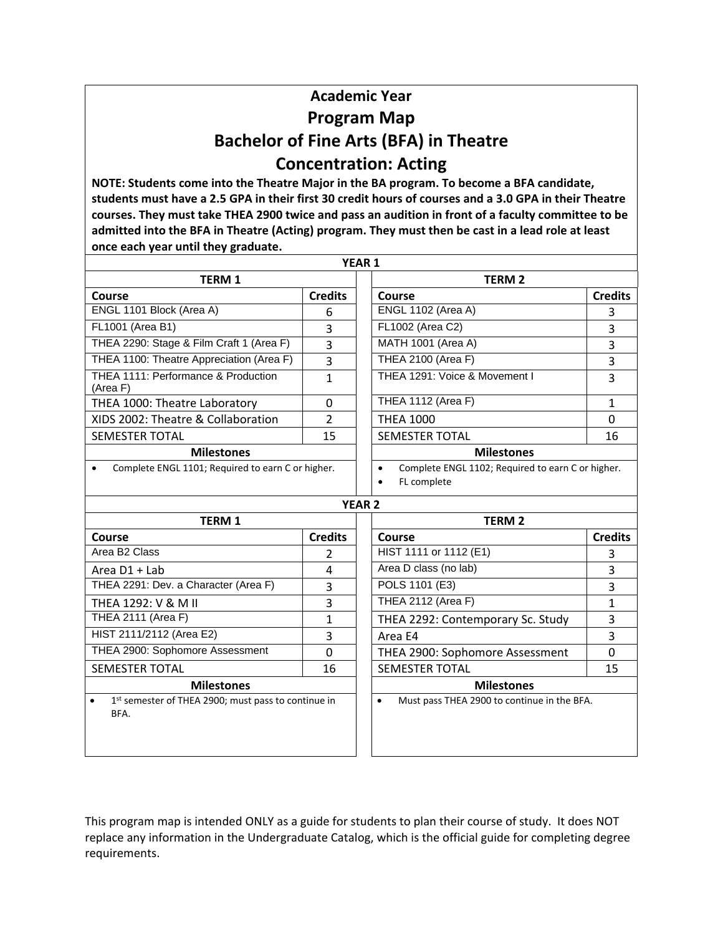## **Academic Year Program Map Bachelor of Fine Arts (BFA) in Theatre Concentration: Acting**

**NOTE: Students come into the Theatre Major in the BA program. To become a BFA candidate, students must have a 2.5 GPA in their first 30 credit hours of courses and a 3.0 GPA in their Theatre courses. They must take THEA 2900 twice and pass an audition in front of a faculty committee to be admitted into the BFA in Theatre (Acting) program. They must then be cast in a lead role at least once each year until they graduate.**

|                                                                          |                | YEAR 1                                                                                     |                |
|--------------------------------------------------------------------------|----------------|--------------------------------------------------------------------------------------------|----------------|
| <b>TERM 1</b>                                                            |                | <b>TERM 2</b>                                                                              |                |
| Course                                                                   | <b>Credits</b> | Course                                                                                     | <b>Credits</b> |
| ENGL 1101 Block (Area A)                                                 | 6              | <b>ENGL 1102 (Area A)</b>                                                                  | 3              |
| FL1001 (Area B1)                                                         | 3              | FL1002 (Area C2)                                                                           | 3              |
| THEA 2290: Stage & Film Craft 1 (Area F)                                 | 3              | <b>MATH 1001 (Area A)</b>                                                                  | 3              |
| THEA 1100: Theatre Appreciation (Area F)                                 | 3              | THEA 2100 (Area F)                                                                         | 3              |
| THEA 1111: Performance & Production<br>(Area F)                          | $\mathbf{1}$   | THEA 1291: Voice & Movement I                                                              | 3              |
| THEA 1000: Theatre Laboratory                                            | 0              | <b>THEA 1112 (Area F)</b>                                                                  | $\mathbf{1}$   |
| XIDS 2002: Theatre & Collaboration                                       | $\overline{2}$ | <b>THEA 1000</b>                                                                           | 0              |
| <b>SEMESTER TOTAL</b>                                                    | 15             | <b>SEMESTER TOTAL</b>                                                                      | 16             |
| <b>Milestones</b>                                                        |                | <b>Milestones</b>                                                                          |                |
| Complete ENGL 1101; Required to earn C or higher.                        |                | Complete ENGL 1102; Required to earn C or higher.<br>$\bullet$<br>FL complete<br>$\bullet$ |                |
|                                                                          |                | <b>YEAR 2</b>                                                                              |                |
| <b>TERM 1</b>                                                            |                | <b>TERM 2</b>                                                                              |                |
| Course                                                                   | <b>Credits</b> | Course                                                                                     | <b>Credits</b> |
| Area B <sub>2</sub> Class                                                | $\overline{2}$ | HIST 1111 or 1112 (E1)                                                                     | 3              |
| Area D1 + Lab                                                            | $\overline{4}$ | Area D class (no lab)                                                                      | 3              |
| THEA 2291: Dev. a Character (Area F)                                     | 3              | POLS 1101 (E3)                                                                             | 3              |
| THEA 1292: V & M II                                                      | 3              | <b>THEA 2112 (Area F)</b>                                                                  | $\mathbf{1}$   |
| THEA 2111 (Area F)                                                       | $\mathbf{1}$   | THEA 2292: Contemporary Sc. Study                                                          | 3              |
| HIST 2111/2112 (Area E2)                                                 | 3              | Area E4                                                                                    | 3              |
| THEA 2900: Sophomore Assessment                                          | 0              | THEA 2900: Sophomore Assessment                                                            | $\Omega$       |
| <b>SEMESTER TOTAL</b>                                                    | 16             | <b>SEMESTER TOTAL</b>                                                                      | 15             |
| <b>Milestones</b>                                                        |                | <b>Milestones</b>                                                                          |                |
| 1st semester of THEA 2900; must pass to continue in<br>$\bullet$<br>BFA. |                | Must pass THEA 2900 to continue in the BFA.<br>$\bullet$                                   |                |

This program map is intended ONLY as a guide for students to plan their course of study. It does NOT replace any information in the Undergraduate Catalog, which is the official guide for completing degree requirements.